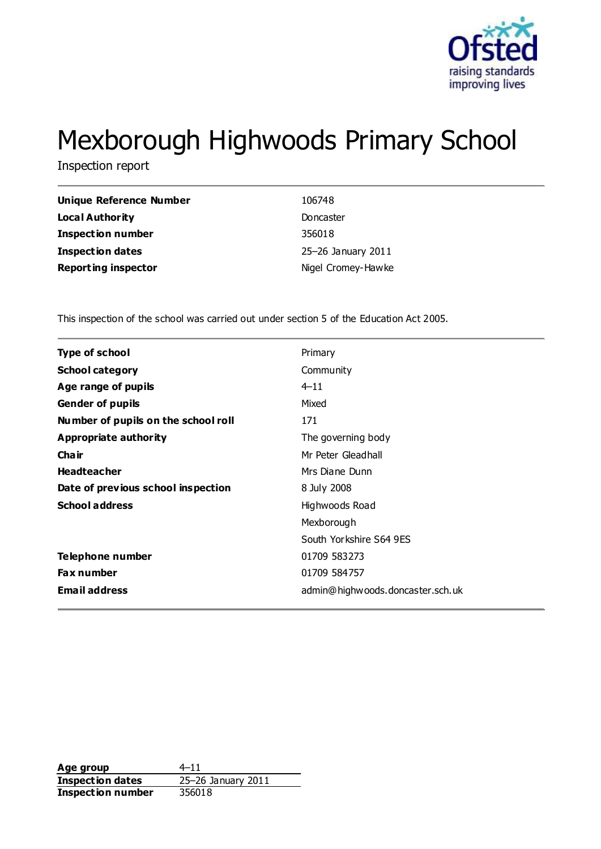

# Mexborough Highwoods Primary School

Inspection report

| <b>Unique Reference Number</b> | 106748             |
|--------------------------------|--------------------|
| <b>Local Authority</b>         | Doncaster          |
| <b>Inspection number</b>       | 356018             |
| <b>Inspection dates</b>        | 25-26 January 2011 |
| <b>Reporting inspector</b>     | Nigel Cromey-Hawke |

This inspection of the school was carried out under section 5 of the Education Act 2005.

| <b>Type of school</b>               | Primary                          |
|-------------------------------------|----------------------------------|
| <b>School category</b>              | Community                        |
| Age range of pupils                 | $4 - 11$                         |
| <b>Gender of pupils</b>             | Mixed                            |
| Number of pupils on the school roll | 171                              |
| <b>Appropriate authority</b>        | The governing body               |
| Cha ir                              | Mr Peter Gleadhall               |
| <b>Headteacher</b>                  | Mrs Diane Dunn                   |
| Date of previous school inspection  | 8 July 2008                      |
| <b>School address</b>               | Highwoods Road                   |
|                                     | Mexborough                       |
|                                     | South Yorkshire S64 9ES          |
| Telephone number                    | 01709 583273                     |
| Fax number                          | 01709 584757                     |
| <b>Email address</b>                | admin@highwoods.doncaster.sch.uk |
|                                     |                                  |

Age group  $4-11$ **Inspection dates** 25–26 January 2011 **Inspection number** 356018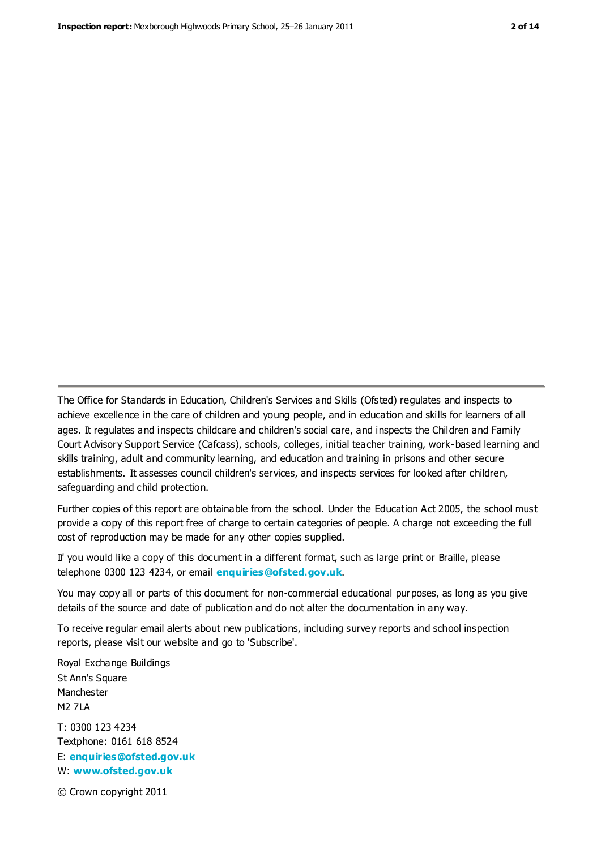The Office for Standards in Education, Children's Services and Skills (Ofsted) regulates and inspects to achieve excellence in the care of children and young people, and in education and skills for learners of all ages. It regulates and inspects childcare and children's social care, and inspects the Children and Family Court Advisory Support Service (Cafcass), schools, colleges, initial teacher training, work-based learning and skills training, adult and community learning, and education and training in prisons and other secure establishments. It assesses council children's services, and inspects services for looked after children, safeguarding and child protection.

Further copies of this report are obtainable from the school. Under the Education Act 2005, the school must provide a copy of this report free of charge to certain categories of people. A charge not exceeding the full cost of reproduction may be made for any other copies supplied.

If you would like a copy of this document in a different format, such as large print or Braille, please telephone 0300 123 4234, or email **[enquiries@ofsted.gov.uk](mailto:enquiries@ofsted.gov.uk)**.

You may copy all or parts of this document for non-commercial educational purposes, as long as you give details of the source and date of publication and do not alter the documentation in any way.

To receive regular email alerts about new publications, including survey reports and school inspection reports, please visit our website and go to 'Subscribe'.

Royal Exchange Buildings St Ann's Square Manchester M2 7LA T: 0300 123 4234 Textphone: 0161 618 8524 E: **[enquiries@ofsted.gov.uk](mailto:enquiries@ofsted.gov.uk)**

W: **[www.ofsted.gov.uk](http://www.ofsted.gov.uk/)**

© Crown copyright 2011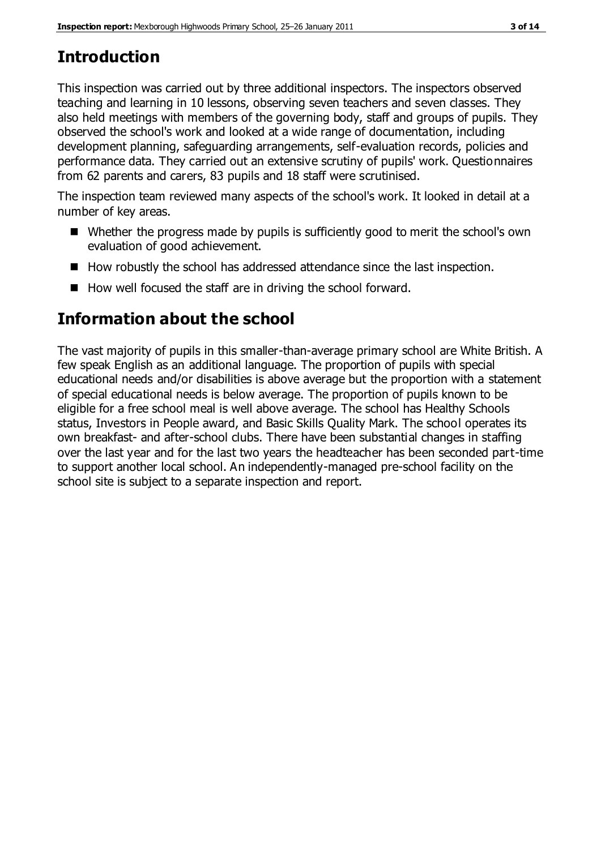### **Introduction**

This inspection was carried out by three additional inspectors. The inspectors observed teaching and learning in 10 lessons, observing seven teachers and seven classes. They also held meetings with members of the governing body, staff and groups of pupils. They observed the school's work and looked at a wide range of documentation, including development planning, safeguarding arrangements, self-evaluation records, policies and performance data. They carried out an extensive scrutiny of pupils' work. Questionnaires from 62 parents and carers, 83 pupils and 18 staff were scrutinised.

The inspection team reviewed many aspects of the school's work. It looked in detail at a number of key areas.

- Whether the progress made by pupils is sufficiently good to merit the school's own evaluation of good achievement.
- How robustly the school has addressed attendance since the last inspection.
- How well focused the staff are in driving the school forward.

### **Information about the school**

The vast majority of pupils in this smaller-than-average primary school are White British. A few speak English as an additional language. The proportion of pupils with special educational needs and/or disabilities is above average but the proportion with a statement of special educational needs is below average. The proportion of pupils known to be eligible for a free school meal is well above average. The school has Healthy Schools status, Investors in People award, and Basic Skills Quality Mark. The school operates its own breakfast- and after-school clubs. There have been substantial changes in staffing over the last year and for the last two years the headteacher has been seconded part-time to support another local school. An independently-managed pre-school facility on the school site is subject to a separate inspection and report.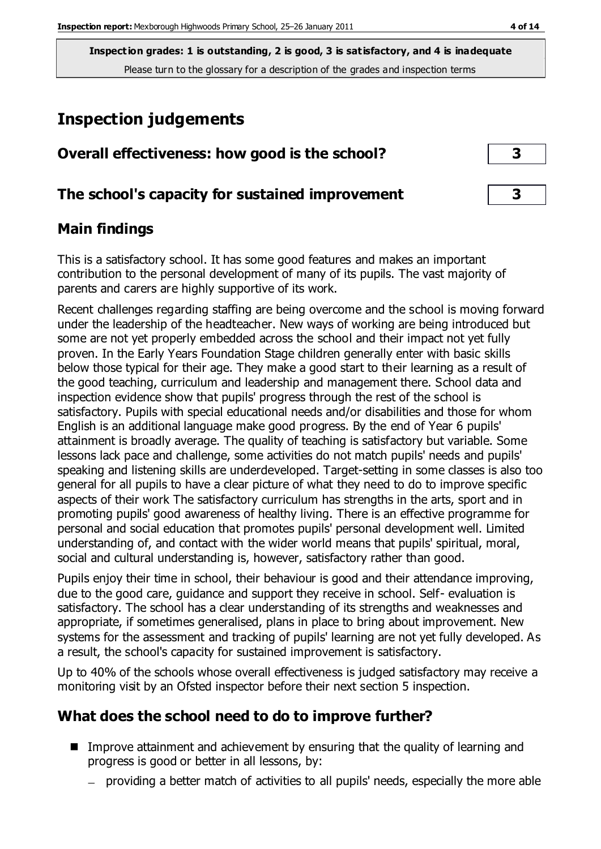### **Inspection judgements**

| Overall effectiveness: how good is the school?  |  |
|-------------------------------------------------|--|
| The school's capacity for sustained improvement |  |

### **Main findings**

This is a satisfactory school. It has some good features and makes an important contribution to the personal development of many of its pupils. The vast majority of parents and carers are highly supportive of its work.

Recent challenges regarding staffing are being overcome and the school is moving forward under the leadership of the headteacher. New ways of working are being introduced but some are not yet properly embedded across the school and their impact not yet fully proven. In the Early Years Foundation Stage children generally enter with basic skills below those typical for their age. They make a good start to their learning as a result of the good teaching, curriculum and leadership and management there. School data and inspection evidence show that pupils' progress through the rest of the school is satisfactory. Pupils with special educational needs and/or disabilities and those for whom English is an additional language make good progress. By the end of Year 6 pupils' attainment is broadly average. The quality of teaching is satisfactory but variable. Some lessons lack pace and challenge, some activities do not match pupils' needs and pupils' speaking and listening skills are underdeveloped. Target-setting in some classes is also too general for all pupils to have a clear picture of what they need to do to improve specific aspects of their work The satisfactory curriculum has strengths in the arts, sport and in promoting pupils' good awareness of healthy living. There is an effective programme for personal and social education that promotes pupils' personal development well. Limited understanding of, and contact with the wider world means that pupils' spiritual, moral, social and cultural understanding is, however, satisfactory rather than good.

Pupils enjoy their time in school, their behaviour is good and their attendance improving, due to the good care, guidance and support they receive in school. Self- evaluation is satisfactory. The school has a clear understanding of its strengths and weaknesses and appropriate, if sometimes generalised, plans in place to bring about improvement. New systems for the assessment and tracking of pupils' learning are not yet fully developed. As a result, the school's capacity for sustained improvement is satisfactory.

Up to 40% of the schools whose overall effectiveness is judged satisfactory may receive a monitoring visit by an Ofsted inspector before their next section 5 inspection.

### **What does the school need to do to improve further?**

- Improve attainment and achievement by ensuring that the quality of learning and progress is good or better in all lessons, by:
	- providing a better match of activities to all pupils' needs, especially the more able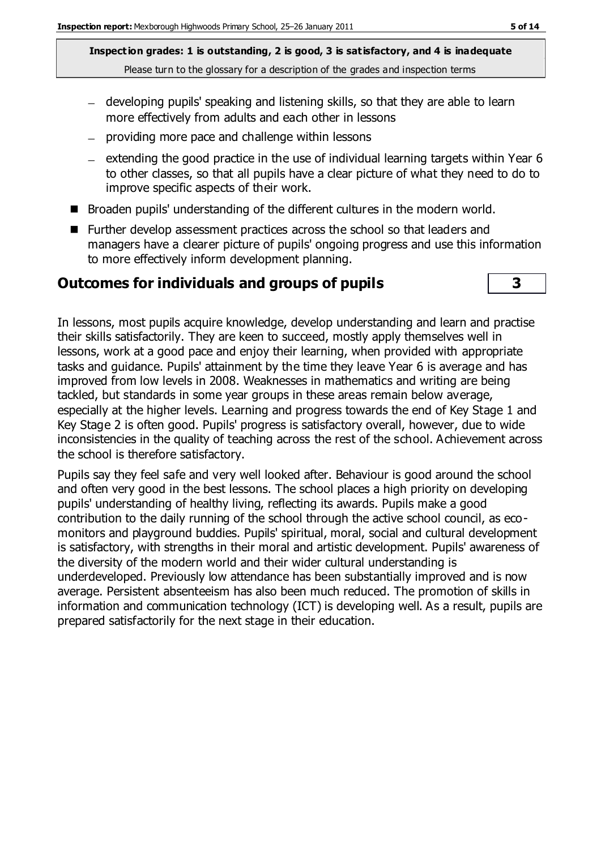- developing pupils' speaking and listening skills, so that they are able to learn more effectively from adults and each other in lessons
- providing more pace and challenge within lessons
- $-$  extending the good practice in the use of individual learning targets within Year 6 to other classes, so that all pupils have a clear picture of what they need to do to improve specific aspects of their work.
- Broaden pupils' understanding of the different cultures in the modern world.
- Further develop assessment practices across the school so that leaders and managers have a clearer picture of pupils' ongoing progress and use this information to more effectively inform development planning.

#### **Outcomes for individuals and groups of pupils 3**



In lessons, most pupils acquire knowledge, develop understanding and learn and practise their skills satisfactorily. They are keen to succeed, mostly apply themselves well in lessons, work at a good pace and enjoy their learning, when provided with appropriate tasks and guidance. Pupils' attainment by the time they leave Year 6 is average and has improved from low levels in 2008. Weaknesses in mathematics and writing are being tackled, but standards in some year groups in these areas remain below average, especially at the higher levels. Learning and progress towards the end of Key Stage 1 and Key Stage 2 is often good. Pupils' progress is satisfactory overall, however, due to wide inconsistencies in the quality of teaching across the rest of the school. Achievement across the school is therefore satisfactory.

Pupils say they feel safe and very well looked after. Behaviour is good around the school and often very good in the best lessons. The school places a high priority on developing pupils' understanding of healthy living, reflecting its awards. Pupils make a good contribution to the daily running of the school through the active school council, as ecomonitors and playground buddies. Pupils' spiritual, moral, social and cultural development is satisfactory, with strengths in their moral and artistic development. Pupils' awareness of the diversity of the modern world and their wider cultural understanding is underdeveloped. Previously low attendance has been substantially improved and is now average. Persistent absenteeism has also been much reduced. The promotion of skills in information and communication technology (ICT) is developing well. As a result, pupils are prepared satisfactorily for the next stage in their education.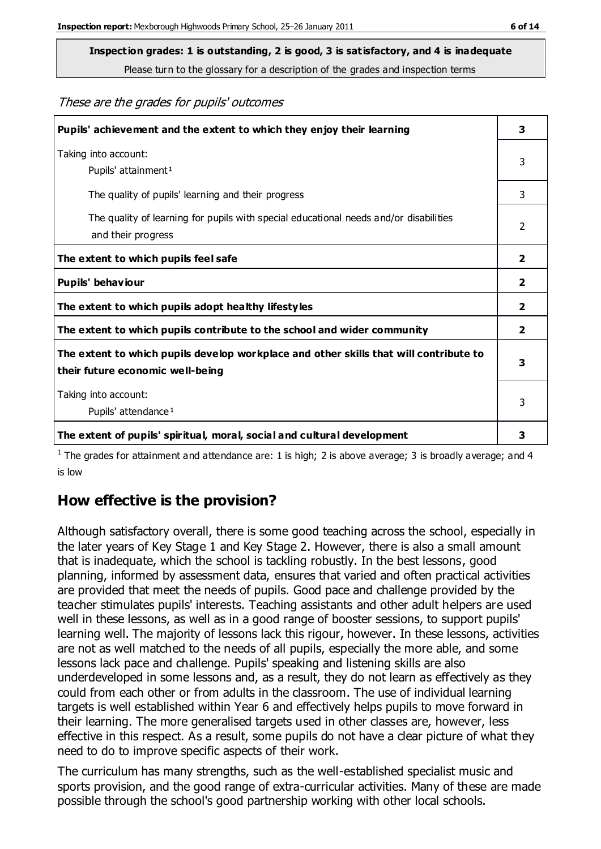**Inspection grades: 1 is outstanding, 2 is good, 3 is satisfactory, and 4 is inadequate**

Please turn to the glossary for a description of the grades and inspection terms

These are the grades for pupils' outcomes

| Pupils' achievement and the extent to which they enjoy their learning                                                     | 3              |
|---------------------------------------------------------------------------------------------------------------------------|----------------|
| Taking into account:<br>Pupils' attainment <sup>1</sup>                                                                   | 3              |
| The quality of pupils' learning and their progress                                                                        | 3              |
| The quality of learning for pupils with special educational needs and/or disabilities<br>and their progress               | $\mathcal{P}$  |
| The extent to which pupils feel safe                                                                                      | $\mathbf{2}$   |
| Pupils' behaviour                                                                                                         | 2              |
| The extent to which pupils adopt healthy lifestyles                                                                       | $\overline{2}$ |
| The extent to which pupils contribute to the school and wider community                                                   | $\mathbf{2}$   |
| The extent to which pupils develop workplace and other skills that will contribute to<br>their future economic well-being | 3              |
| Taking into account:<br>Pupils' attendance <sup>1</sup>                                                                   | 3              |
| The extent of pupils' spiritual, moral, social and cultural development                                                   | 3              |

<sup>1</sup> The grades for attainment and attendance are: 1 is high; 2 is above average; 3 is broadly average; and 4 is low

### **How effective is the provision?**

Although satisfactory overall, there is some good teaching across the school, especially in the later years of Key Stage 1 and Key Stage 2. However, there is also a small amount that is inadequate, which the school is tackling robustly. In the best lessons, good planning, informed by assessment data, ensures that varied and often practical activities are provided that meet the needs of pupils. Good pace and challenge provided by the teacher stimulates pupils' interests. Teaching assistants and other adult helpers are used well in these lessons, as well as in a good range of booster sessions, to support pupils' learning well. The majority of lessons lack this rigour, however. In these lessons, activities are not as well matched to the needs of all pupils, especially the more able, and some lessons lack pace and challenge. Pupils' speaking and listening skills are also underdeveloped in some lessons and, as a result, they do not learn as effectively as they could from each other or from adults in the classroom. The use of individual learning targets is well established within Year 6 and effectively helps pupils to move forward in their learning. The more generalised targets used in other classes are, however, less effective in this respect. As a result, some pupils do not have a clear picture of what they need to do to improve specific aspects of their work.

The curriculum has many strengths, such as the well-established specialist music and sports provision, and the good range of extra-curricular activities. Many of these are made possible through the school's good partnership working with other local schools.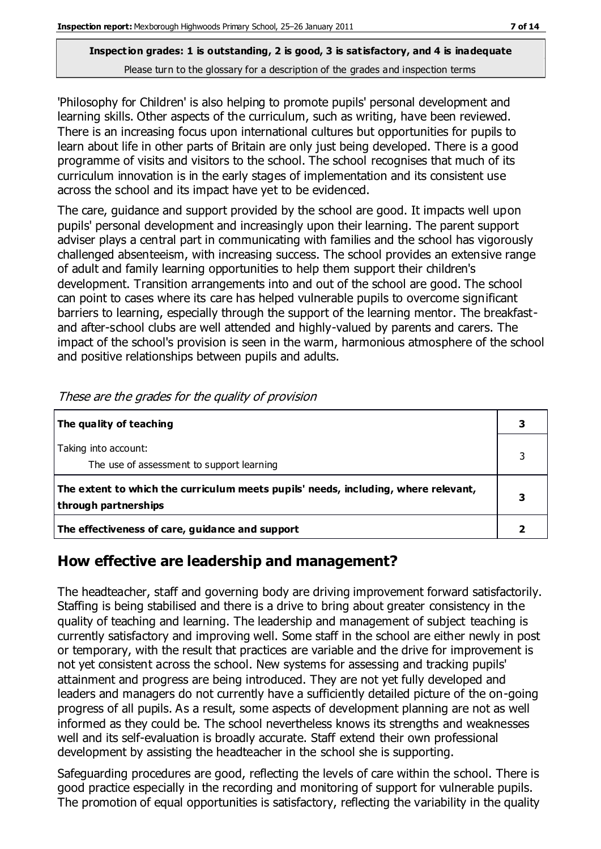'Philosophy for Children' is also helping to promote pupils' personal development and learning skills. Other aspects of the curriculum, such as writing, have been reviewed. There is an increasing focus upon international cultures but opportunities for pupils to learn about life in other parts of Britain are only just being developed. There is a good programme of visits and visitors to the school. The school recognises that much of its curriculum innovation is in the early stages of implementation and its consistent use across the school and its impact have yet to be evidenced.

The care, guidance and support provided by the school are good. It impacts well upon pupils' personal development and increasingly upon their learning. The parent support adviser plays a central part in communicating with families and the school has vigorously challenged absenteeism, with increasing success. The school provides an extensive range of adult and family learning opportunities to help them support their children's development. Transition arrangements into and out of the school are good. The school can point to cases where its care has helped vulnerable pupils to overcome significant barriers to learning, especially through the support of the learning mentor. The breakfastand after-school clubs are well attended and highly-valued by parents and carers. The impact of the school's provision is seen in the warm, harmonious atmosphere of the school and positive relationships between pupils and adults.

| The quality of teaching                                                                                    |  |
|------------------------------------------------------------------------------------------------------------|--|
| Taking into account:<br>The use of assessment to support learning                                          |  |
| The extent to which the curriculum meets pupils' needs, including, where relevant,<br>through partnerships |  |
| The effectiveness of care, guidance and support                                                            |  |

These are the grades for the quality of provision

### **How effective are leadership and management?**

The headteacher, staff and governing body are driving improvement forward satisfactorily. Staffing is being stabilised and there is a drive to bring about greater consistency in the quality of teaching and learning. The leadership and management of subject teaching is currently satisfactory and improving well. Some staff in the school are either newly in post or temporary, with the result that practices are variable and the drive for improvement is not yet consistent across the school. New systems for assessing and tracking pupils' attainment and progress are being introduced. They are not yet fully developed and leaders and managers do not currently have a sufficiently detailed picture of the on-going progress of all pupils. As a result, some aspects of development planning are not as well informed as they could be. The school nevertheless knows its strengths and weaknesses well and its self-evaluation is broadly accurate. Staff extend their own professional development by assisting the headteacher in the school she is supporting.

Safeguarding procedures are good, reflecting the levels of care within the school. There is good practice especially in the recording and monitoring of support for vulnerable pupils. The promotion of equal opportunities is satisfactory, reflecting the variability in the quality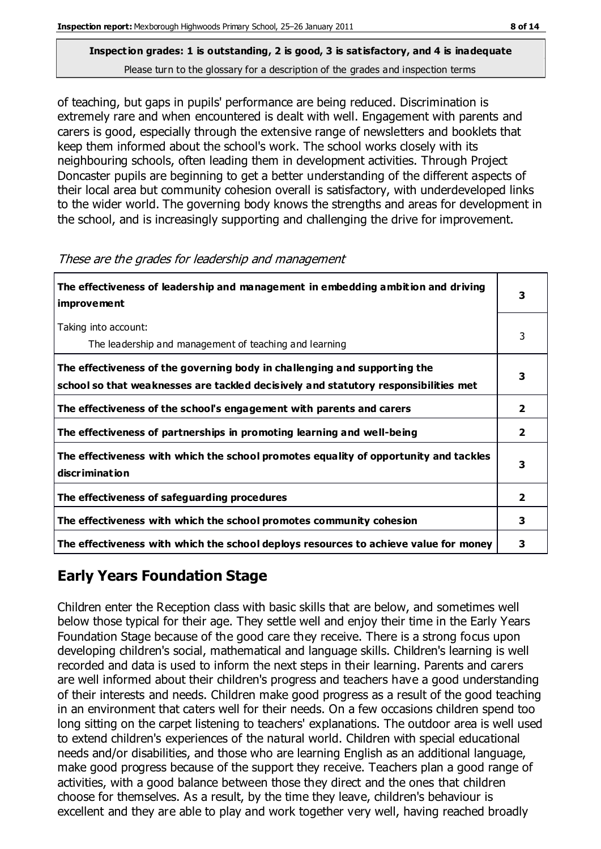## **Inspection grades: 1 is outstanding, 2 is good, 3 is satisfactory, and 4 is inadequate**

Please turn to the glossary for a description of the grades and inspection terms

of teaching, but gaps in pupils' performance are being reduced. Discrimination is extremely rare and when encountered is dealt with well. Engagement with parents and carers is good, especially through the extensive range of newsletters and booklets that keep them informed about the school's work. The school works closely with its neighbouring schools, often leading them in development activities. Through Project Doncaster pupils are beginning to get a better understanding of the different aspects of their local area but community cohesion overall is satisfactory, with underdeveloped links to the wider world. The governing body knows the strengths and areas for development in the school, and is increasingly supporting and challenging the drive for improvement.

| The effectiveness of leadership and management in embedding ambition and driving<br><i>improvement</i>                                                           |                |
|------------------------------------------------------------------------------------------------------------------------------------------------------------------|----------------|
| Taking into account:<br>The leadership and management of teaching and learning                                                                                   | 3              |
| The effectiveness of the governing body in challenging and supporting the<br>school so that weaknesses are tackled decisively and statutory responsibilities met | 3              |
| The effectiveness of the school's engagement with parents and carers                                                                                             | $\mathbf{2}$   |
| The effectiveness of partnerships in promoting learning and well-being                                                                                           | $\overline{2}$ |
| The effectiveness with which the school promotes equality of opportunity and tackles<br>discrimination                                                           | 3              |
| The effectiveness of safeguarding procedures                                                                                                                     | 2              |
| The effectiveness with which the school promotes community cohesion                                                                                              | 3              |
| The effectiveness with which the school deploys resources to achieve value for money                                                                             | 3              |

These are the grades for leadership and management

### **Early Years Foundation Stage**

Children enter the Reception class with basic skills that are below, and sometimes well below those typical for their age. They settle well and enjoy their time in the Early Years Foundation Stage because of the good care they receive. There is a strong focus upon developing children's social, mathematical and language skills. Children's learning is well recorded and data is used to inform the next steps in their learning. Parents and carers are well informed about their children's progress and teachers have a good understanding of their interests and needs. Children make good progress as a result of the good teaching in an environment that caters well for their needs. On a few occasions children spend too long sitting on the carpet listening to teachers' explanations. The outdoor area is well used to extend children's experiences of the natural world. Children with special educational needs and/or disabilities, and those who are learning English as an additional language, make good progress because of the support they receive. Teachers plan a good range of activities, with a good balance between those they direct and the ones that children choose for themselves. As a result, by the time they leave, children's behaviour is excellent and they are able to play and work together very well, having reached broadly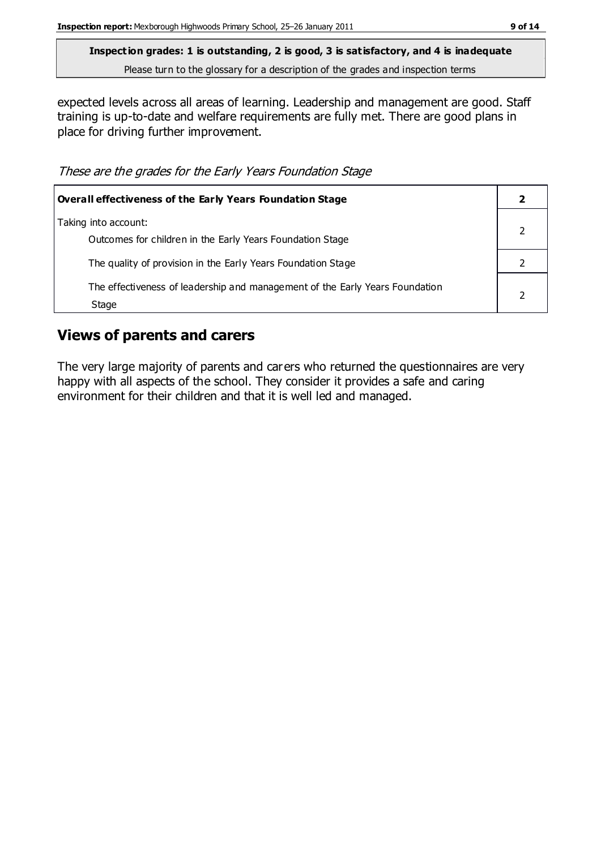expected levels across all areas of learning. Leadership and management are good. Staff training is up-to-date and welfare requirements are fully met. There are good plans in place for driving further improvement.

These are the grades for the Early Years Foundation Stage

| Overall effectiveness of the Early Years Foundation Stage                             |  |
|---------------------------------------------------------------------------------------|--|
| Taking into account:<br>Outcomes for children in the Early Years Foundation Stage     |  |
| The quality of provision in the Early Years Foundation Stage                          |  |
| The effectiveness of leadership and management of the Early Years Foundation<br>Stage |  |

### **Views of parents and carers**

The very large majority of parents and carers who returned the questionnaires are very happy with all aspects of the school. They consider it provides a safe and caring environment for their children and that it is well led and managed.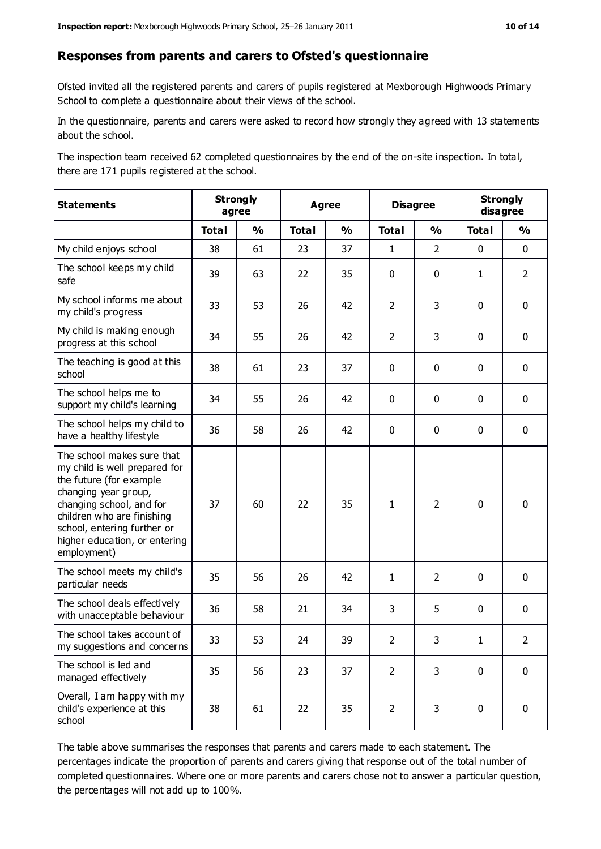#### **Responses from parents and carers to Ofsted's questionnaire**

Ofsted invited all the registered parents and carers of pupils registered at Mexborough Highwoods Primary School to complete a questionnaire about their views of the school.

In the questionnaire, parents and carers were asked to record how strongly they agreed with 13 statements about the school.

The inspection team received 62 completed questionnaires by the end of the on-site inspection. In total, there are 171 pupils registered at the school.

| <b>Statements</b>                                                                                                                                                                                                                                       | <b>Strongly</b><br><b>Agree</b><br>agree |                         |              | <b>Disagree</b> |                | <b>Strongly</b><br>disagree |              |                |
|---------------------------------------------------------------------------------------------------------------------------------------------------------------------------------------------------------------------------------------------------------|------------------------------------------|-------------------------|--------------|-----------------|----------------|-----------------------------|--------------|----------------|
|                                                                                                                                                                                                                                                         | <b>Total</b>                             | $\mathbf{O}/\mathbf{O}$ | <b>Total</b> | $\frac{1}{2}$   | <b>Total</b>   | $\frac{1}{2}$               | <b>Total</b> | $\frac{1}{2}$  |
| My child enjoys school                                                                                                                                                                                                                                  | 38                                       | 61                      | 23           | 37              | 1              | $\overline{2}$              | $\mathbf 0$  | $\mathbf 0$    |
| The school keeps my child<br>safe                                                                                                                                                                                                                       | 39                                       | 63                      | 22           | 35              | 0              | 0                           | $\mathbf{1}$ | $\overline{2}$ |
| My school informs me about<br>my child's progress                                                                                                                                                                                                       | 33                                       | 53                      | 26           | 42              | $\overline{2}$ | 3                           | $\mathbf 0$  | $\mathbf 0$    |
| My child is making enough<br>progress at this school                                                                                                                                                                                                    | 34                                       | 55                      | 26           | 42              | $\overline{2}$ | 3                           | $\mathbf 0$  | $\mathbf 0$    |
| The teaching is good at this<br>school                                                                                                                                                                                                                  | 38                                       | 61                      | 23           | 37              | 0              | 0                           | 0            | $\mathbf 0$    |
| The school helps me to<br>support my child's learning                                                                                                                                                                                                   | 34                                       | 55                      | 26           | 42              | 0              | $\mathbf{0}$                | 0            | $\mathbf 0$    |
| The school helps my child to<br>have a healthy lifestyle                                                                                                                                                                                                | 36                                       | 58                      | 26           | 42              | 0              | 0                           | 0            | $\pmb{0}$      |
| The school makes sure that<br>my child is well prepared for<br>the future (for example<br>changing year group,<br>changing school, and for<br>children who are finishing<br>school, entering further or<br>higher education, or entering<br>employment) | 37                                       | 60                      | 22           | 35              | $\mathbf{1}$   | $\overline{2}$              | $\mathbf 0$  | $\mathbf 0$    |
| The school meets my child's<br>particular needs                                                                                                                                                                                                         | 35                                       | 56                      | 26           | 42              | 1              | $\overline{2}$              | $\mathbf 0$  | $\mathbf 0$    |
| The school deals effectively<br>with unacceptable behaviour                                                                                                                                                                                             | 36                                       | 58                      | 21           | 34              | 3              | 5                           | $\mathbf 0$  | $\pmb{0}$      |
| The school takes account of<br>my suggestions and concerns                                                                                                                                                                                              | 33                                       | 53                      | 24           | 39              | 2              | 3                           | 1            | 2              |
| The school is led and<br>managed effectively                                                                                                                                                                                                            | 35                                       | 56                      | 23           | 37              | $\overline{2}$ | 3                           | $\mathbf 0$  | $\mathbf 0$    |
| Overall, I am happy with my<br>child's experience at this<br>school                                                                                                                                                                                     | 38                                       | 61                      | 22           | 35              | $\overline{2}$ | 3                           | $\mathbf 0$  | $\pmb{0}$      |

The table above summarises the responses that parents and carers made to each statement. The percentages indicate the proportion of parents and carers giving that response out of the total number of completed questionnaires. Where one or more parents and carers chose not to answer a particular question, the percentages will not add up to 100%.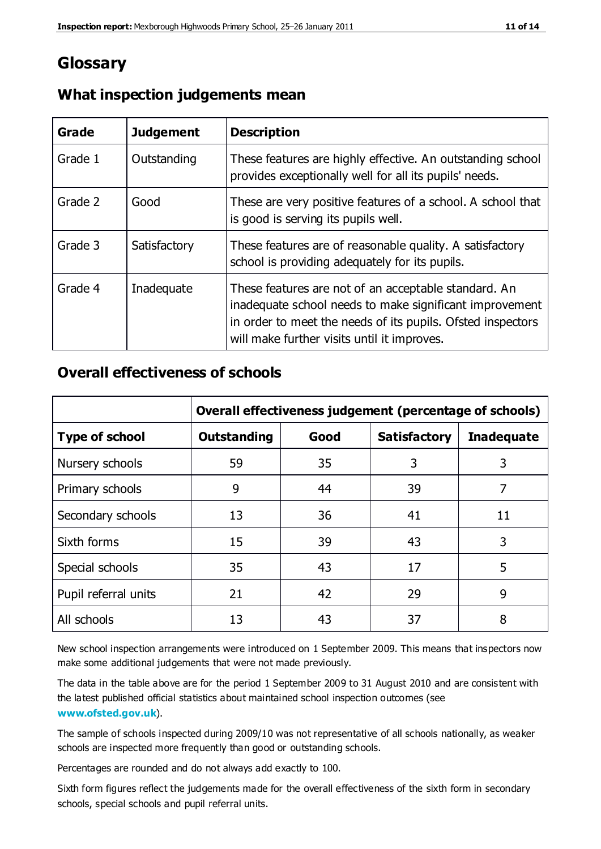### **Glossary**

| Grade   | <b>Judgement</b> | <b>Description</b>                                                                                                                                                                                                            |
|---------|------------------|-------------------------------------------------------------------------------------------------------------------------------------------------------------------------------------------------------------------------------|
| Grade 1 | Outstanding      | These features are highly effective. An outstanding school<br>provides exceptionally well for all its pupils' needs.                                                                                                          |
| Grade 2 | Good             | These are very positive features of a school. A school that<br>is good is serving its pupils well.                                                                                                                            |
| Grade 3 | Satisfactory     | These features are of reasonable quality. A satisfactory<br>school is providing adequately for its pupils.                                                                                                                    |
| Grade 4 | Inadequate       | These features are not of an acceptable standard. An<br>inadequate school needs to make significant improvement<br>in order to meet the needs of its pupils. Ofsted inspectors<br>will make further visits until it improves. |

### **What inspection judgements mean**

### **Overall effectiveness of schools**

|                       | Overall effectiveness judgement (percentage of schools) |      |                     |                   |
|-----------------------|---------------------------------------------------------|------|---------------------|-------------------|
| <b>Type of school</b> | <b>Outstanding</b>                                      | Good | <b>Satisfactory</b> | <b>Inadequate</b> |
| Nursery schools       | 59                                                      | 35   | 3                   | 3                 |
| Primary schools       | 9                                                       | 44   | 39                  | 7                 |
| Secondary schools     | 13                                                      | 36   | 41                  | 11                |
| Sixth forms           | 15                                                      | 39   | 43                  | 3                 |
| Special schools       | 35                                                      | 43   | 17                  | 5                 |
| Pupil referral units  | 21                                                      | 42   | 29                  | 9                 |
| All schools           | 13                                                      | 43   | 37                  | 8                 |

New school inspection arrangements were introduced on 1 September 2009. This means that inspectors now make some additional judgements that were not made previously.

The data in the table above are for the period 1 September 2009 to 31 August 2010 and are consistent with the latest published official statistics about maintained school inspection outcomes (see **[www.ofsted.gov.uk](http://www.ofsted.gov.uk/)**).

The sample of schools inspected during 2009/10 was not representative of all schools nationally, as weaker schools are inspected more frequently than good or outstanding schools.

Percentages are rounded and do not always add exactly to 100.

Sixth form figures reflect the judgements made for the overall effectiveness of the sixth form in secondary schools, special schools and pupil referral units.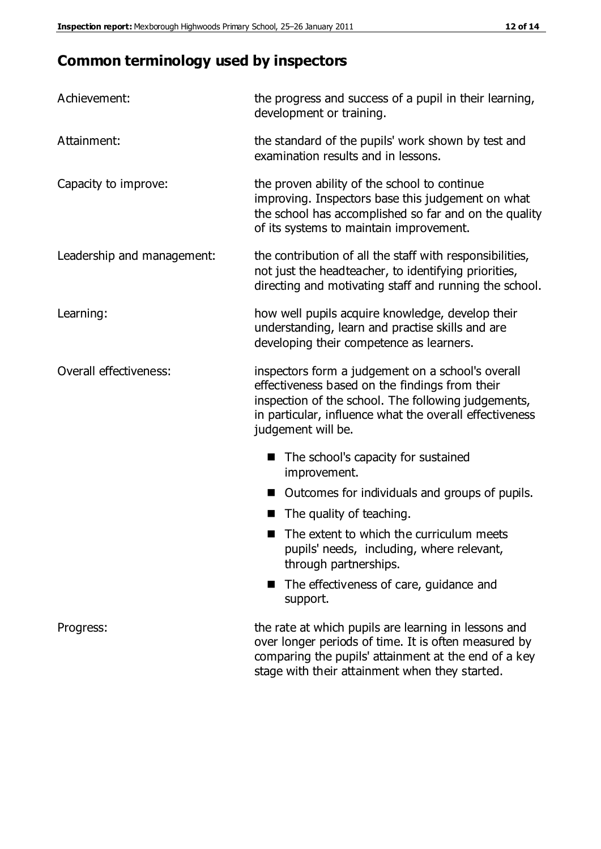### **Common terminology used by inspectors**

| Achievement:               | the progress and success of a pupil in their learning,<br>development or training.                                                                                                                                                          |
|----------------------------|---------------------------------------------------------------------------------------------------------------------------------------------------------------------------------------------------------------------------------------------|
| Attainment:                | the standard of the pupils' work shown by test and<br>examination results and in lessons.                                                                                                                                                   |
| Capacity to improve:       | the proven ability of the school to continue<br>improving. Inspectors base this judgement on what<br>the school has accomplished so far and on the quality<br>of its systems to maintain improvement.                                       |
| Leadership and management: | the contribution of all the staff with responsibilities,<br>not just the headteacher, to identifying priorities,<br>directing and motivating staff and running the school.                                                                  |
| Learning:                  | how well pupils acquire knowledge, develop their<br>understanding, learn and practise skills and are<br>developing their competence as learners.                                                                                            |
| Overall effectiveness:     | inspectors form a judgement on a school's overall<br>effectiveness based on the findings from their<br>inspection of the school. The following judgements,<br>in particular, influence what the overall effectiveness<br>judgement will be. |
|                            | The school's capacity for sustained<br>improvement.                                                                                                                                                                                         |
|                            | Outcomes for individuals and groups of pupils.                                                                                                                                                                                              |
|                            | The quality of teaching.                                                                                                                                                                                                                    |
|                            | The extent to which the curriculum meets<br>pupils' needs, including, where relevant,<br>through partnerships.                                                                                                                              |
|                            | The effectiveness of care, guidance and<br>support.                                                                                                                                                                                         |
| Progress:                  | the rate at which pupils are learning in lessons and<br>over longer periods of time. It is often measured by<br>comparing the pupils' attainment at the end of a key                                                                        |

stage with their attainment when they started.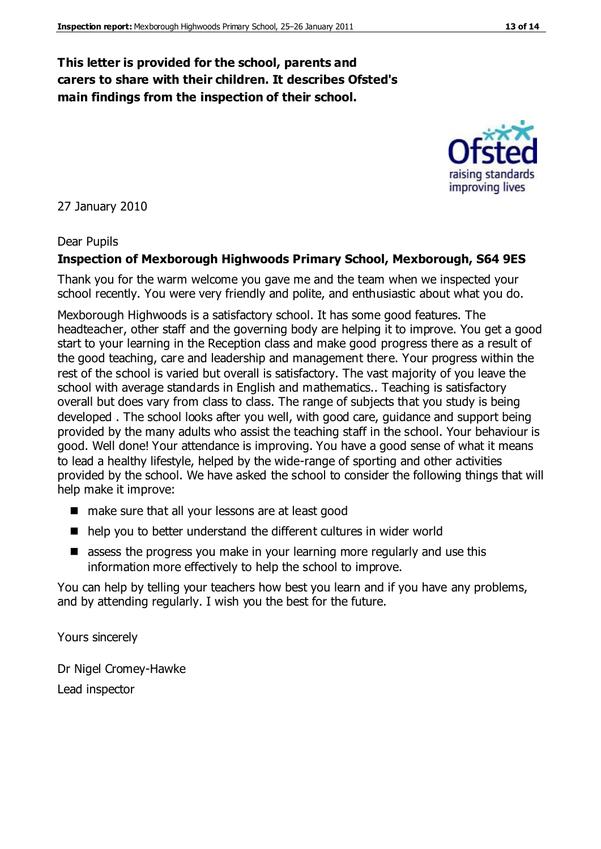### **This letter is provided for the school, parents and carers to share with their children. It describes Ofsted's main findings from the inspection of their school.**

27 January 2010

#### Dear Pupils

#### **Inspection of Mexborough Highwoods Primary School, Mexborough, S64 9ES**

Thank you for the warm welcome you gave me and the team when we inspected your school recently. You were very friendly and polite, and enthusiastic about what you do.

Mexborough Highwoods is a satisfactory school. It has some good features. The headteacher, other staff and the governing body are helping it to improve. You get a good start to your learning in the Reception class and make good progress there as a result of the good teaching, care and leadership and management there. Your progress within the rest of the school is varied but overall is satisfactory. The vast majority of you leave the school with average standards in English and mathematics.. Teaching is satisfactory overall but does vary from class to class. The range of subjects that you study is being developed . The school looks after you well, with good care, guidance and support being provided by the many adults who assist the teaching staff in the school. Your behaviour is good. Well done! Your attendance is improving. You have a good sense of what it means to lead a healthy lifestyle, helped by the wide-range of sporting and other activities provided by the school. We have asked the school to consider the following things that will help make it improve:

- make sure that all your lessons are at least good
- help you to better understand the different cultures in wider world
- **E** assess the progress you make in your learning more regularly and use this information more effectively to help the school to improve.

You can help by telling your teachers how best you learn and if you have any problems, and by attending regularly. I wish you the best for the future.

Yours sincerely

Dr Nigel Cromey-Hawke Lead inspector